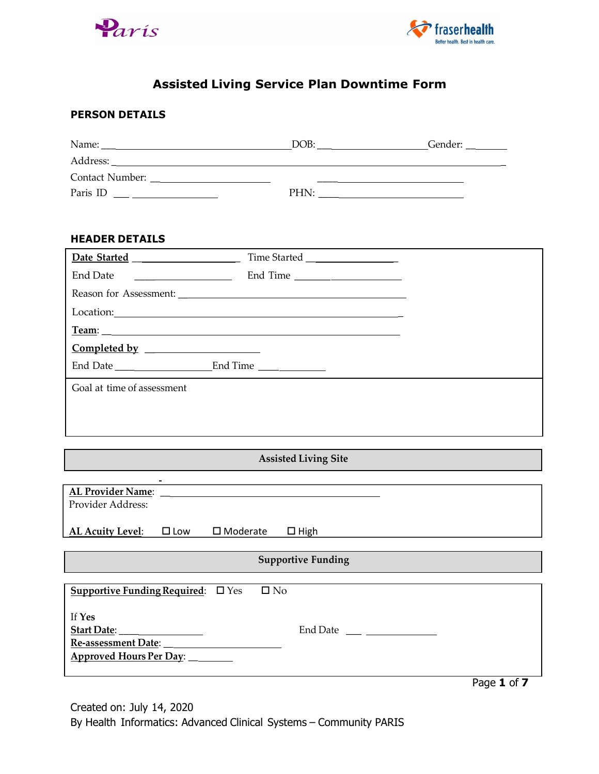



# **Assisted Living Service Plan Downtime Form**

## **PERSON DETAILS**

|                                                                                                                                                                                                                                      |                                               | _DOB: ____________________________Gender: __________                                                                 |
|--------------------------------------------------------------------------------------------------------------------------------------------------------------------------------------------------------------------------------------|-----------------------------------------------|----------------------------------------------------------------------------------------------------------------------|
|                                                                                                                                                                                                                                      |                                               |                                                                                                                      |
|                                                                                                                                                                                                                                      |                                               | <u> Alexandro de la contrada de la contrada de la contrada de la contrada de la contrada de la contrada de la co</u> |
|                                                                                                                                                                                                                                      |                                               | PHN: $\qquad \qquad$                                                                                                 |
|                                                                                                                                                                                                                                      |                                               |                                                                                                                      |
| <b>HEADER DETAILS</b>                                                                                                                                                                                                                |                                               |                                                                                                                      |
|                                                                                                                                                                                                                                      |                                               |                                                                                                                      |
|                                                                                                                                                                                                                                      |                                               |                                                                                                                      |
| <b>End Date</b>                                                                                                                                                                                                                      | $\frac{1}{2}$ End Time $\frac{1}{2}$ End Time |                                                                                                                      |
|                                                                                                                                                                                                                                      |                                               |                                                                                                                      |
| Location: <u>contract and contract and contract and contract and contract and contract and contract and contract and contract and contract and contract and contract and contract and contract and contract and contract and con</u> |                                               |                                                                                                                      |
|                                                                                                                                                                                                                                      |                                               |                                                                                                                      |
| $Complete d by$                                                                                                                                                                                                                      |                                               |                                                                                                                      |
|                                                                                                                                                                                                                                      |                                               |                                                                                                                      |
| Goal at time of assessment                                                                                                                                                                                                           |                                               |                                                                                                                      |
|                                                                                                                                                                                                                                      |                                               |                                                                                                                      |
|                                                                                                                                                                                                                                      |                                               |                                                                                                                      |
|                                                                                                                                                                                                                                      |                                               |                                                                                                                      |
|                                                                                                                                                                                                                                      | <b>Assisted Living Site</b>                   |                                                                                                                      |
|                                                                                                                                                                                                                                      |                                               |                                                                                                                      |
|                                                                                                                                                                                                                                      |                                               |                                                                                                                      |
| Provider Address:                                                                                                                                                                                                                    |                                               |                                                                                                                      |
| <b>AL Acuity Level:</b><br>$\square$ Low                                                                                                                                                                                             | $\square$ Moderate<br>$\Box$ High             |                                                                                                                      |
|                                                                                                                                                                                                                                      |                                               |                                                                                                                      |
|                                                                                                                                                                                                                                      | <b>Supportive Funding</b>                     |                                                                                                                      |
|                                                                                                                                                                                                                                      |                                               |                                                                                                                      |
| Supportive Funding Required: $\Box$ Yes                                                                                                                                                                                              | $\square$ No                                  |                                                                                                                      |
| If Yes                                                                                                                                                                                                                               |                                               |                                                                                                                      |
| Start Date: __________________                                                                                                                                                                                                       |                                               |                                                                                                                      |
| Re-assessment Date:                                                                                                                                                                                                                  |                                               |                                                                                                                      |
| Approved Hours Per Day: _________                                                                                                                                                                                                    |                                               |                                                                                                                      |
|                                                                                                                                                                                                                                      |                                               |                                                                                                                      |

Page **1** of **7**

Created on: July 14, 2020 By Health Informatics: Advanced Clinical Systems – Community PARIS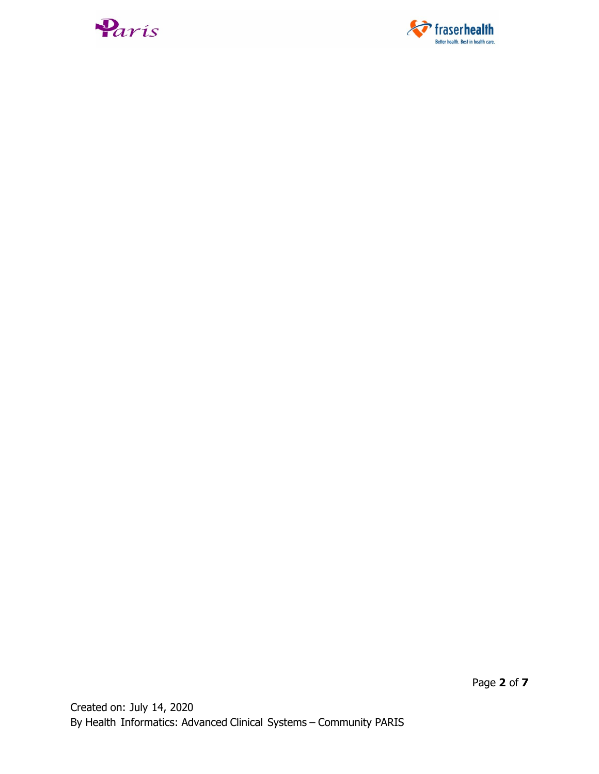

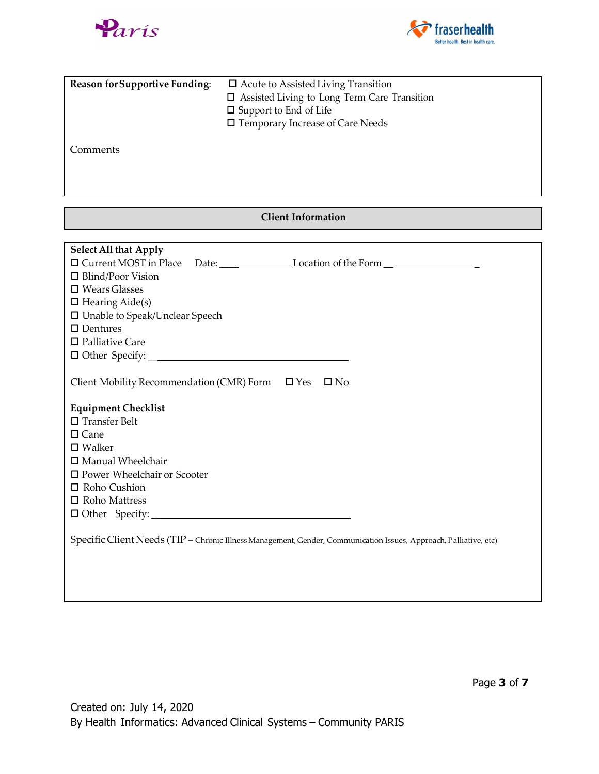



| Reason for Supportive Funding:<br>$\Box$ Acute to Assisted Living Transition                                      |  |  |  |
|-------------------------------------------------------------------------------------------------------------------|--|--|--|
| $\square$ Assisted Living to Long Term Care Transition                                                            |  |  |  |
| $\square$ Support to End of Life                                                                                  |  |  |  |
| □ Temporary Increase of Care Needs                                                                                |  |  |  |
|                                                                                                                   |  |  |  |
| Comments                                                                                                          |  |  |  |
|                                                                                                                   |  |  |  |
|                                                                                                                   |  |  |  |
|                                                                                                                   |  |  |  |
| <b>Client Information</b>                                                                                         |  |  |  |
|                                                                                                                   |  |  |  |
|                                                                                                                   |  |  |  |
| <b>Select All that Apply</b><br>□ Current MOST in Place<br>Date: Location of the Form                             |  |  |  |
| $\Box$ Blind/Poor Vision                                                                                          |  |  |  |
| $\square$ Wears Glasses                                                                                           |  |  |  |
| $\Box$ Hearing Aide(s)                                                                                            |  |  |  |
| □ Unable to Speak/Unclear Speech                                                                                  |  |  |  |
| $\square$ Dentures                                                                                                |  |  |  |
| $\Box$ Palliative Care                                                                                            |  |  |  |
|                                                                                                                   |  |  |  |
|                                                                                                                   |  |  |  |
| Client Mobility Recommendation (CMR) Form<br>$\square$ Yes<br>$\square$ No                                        |  |  |  |
|                                                                                                                   |  |  |  |
| <b>Equipment Checklist</b>                                                                                        |  |  |  |
| $\Box$ Transfer Belt                                                                                              |  |  |  |
| $\Box$ Cane                                                                                                       |  |  |  |
| $\square$ Walker                                                                                                  |  |  |  |
| $\square$ Manual Wheelchair                                                                                       |  |  |  |
| $\square$ Power Wheelchair or Scooter                                                                             |  |  |  |
| $\Box$ Roho Cushion                                                                                               |  |  |  |
|                                                                                                                   |  |  |  |
| $\Box$ Roho Mattress                                                                                              |  |  |  |
|                                                                                                                   |  |  |  |
| Specific Client Needs (TIP - Chronic Illness Management, Gender, Communication Issues, Approach, Palliative, etc) |  |  |  |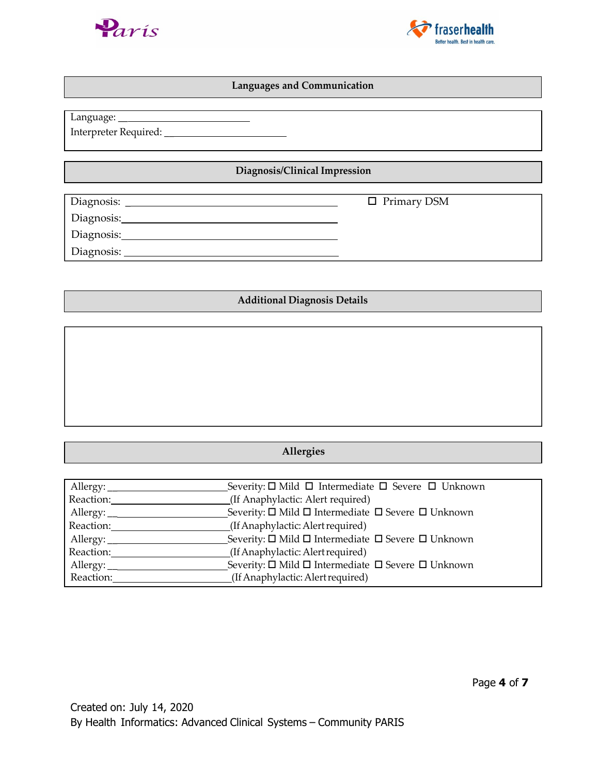



## **Languages and Communication**

| Diagnosis/Clinical Impression |                    |
|-------------------------------|--------------------|
|                               |                    |
| Diagnosis: __________         | $\Box$ Primary DSM |
|                               |                    |
|                               |                    |
|                               |                    |

**Additional Diagnosis Details**

## **Allergies**

| Allergy: $\_\_$ | Severity: $\square$ Mild $\square$ Intermediate $\square$ Severe $\square$ Unknown |
|-----------------|------------------------------------------------------------------------------------|
| Reaction:       | (If Anaphylactic: Alert required)                                                  |
| Allergy: $\_\_$ | Severity: $\square$ Mild $\square$ Intermediate $\square$ Severe $\square$ Unknown |
| Reaction:       | (If Anaphylactic: Alert required)                                                  |
| Allergy: $\_\_$ | Severity: $\square$ Mild $\square$ Intermediate $\square$ Severe $\square$ Unknown |
| Reaction:       | (If Anaphylactic: Alert required)                                                  |
| Allergy: $\_\_$ | Severity: $\square$ Mild $\square$ Intermediate $\square$ Severe $\square$ Unknown |
| Reaction:       | (If Anaphylactic: Alert required)                                                  |
|                 |                                                                                    |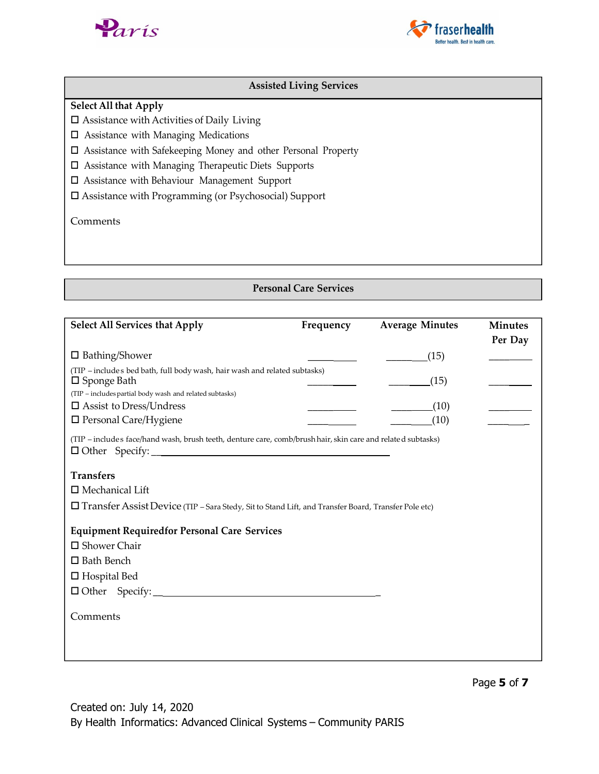



#### **Assisted Living Services**

# **Select All that Apply**

Assistance with Activities of Daily Living

- Assistance with Managing Medications
- Assistance with Safekeeping Money and other Personal Property
- Assistance with Managing Therapeutic Diets Supports
- Assistance with Behaviour Management Support
- Assistance with Programming (or Psychosocial) Support

Comments

**Personal Care Services**

| <b>Select All Services that Apply</b>                                                                                                                                                                                                                                                                                                                                                                               | Frequency | <b>Average Minutes</b> | <b>Minutes</b><br>Per Day |
|---------------------------------------------------------------------------------------------------------------------------------------------------------------------------------------------------------------------------------------------------------------------------------------------------------------------------------------------------------------------------------------------------------------------|-----------|------------------------|---------------------------|
| $\square$ Bathing/Shower                                                                                                                                                                                                                                                                                                                                                                                            |           | (15)                   |                           |
| (TIP – includes bed bath, full body wash, hair wash and related subtasks)<br>$\square$ Sponge Bath                                                                                                                                                                                                                                                                                                                  |           | (15)                   |                           |
| (TIP - includes partial body wash and related subtasks)                                                                                                                                                                                                                                                                                                                                                             |           |                        |                           |
| $\square$ Assist to Dress/Undress                                                                                                                                                                                                                                                                                                                                                                                   |           | (10)                   |                           |
| $\square$ Personal Care/Hygiene                                                                                                                                                                                                                                                                                                                                                                                     |           | (10)                   |                           |
| (TIP – includes face/hand wash, brush teeth, denture care, comb/brush hair, skin care and related subtasks)<br><b>Transfers</b><br>$\Box$ Mechanical Lift<br>$\Box$ Transfer Assist Device (TIP – Sara Stedy, Sit to Stand Lift, and Transfer Board, Transfer Pole etc)<br><b>Equipment Requiredfor Personal Care Services</b><br>$\square$ Shower Chair<br>$\square$ Bath Bench<br>$\Box$ Hospital Bed<br>Comments |           |                        |                           |
|                                                                                                                                                                                                                                                                                                                                                                                                                     |           |                        |                           |
|                                                                                                                                                                                                                                                                                                                                                                                                                     |           |                        |                           |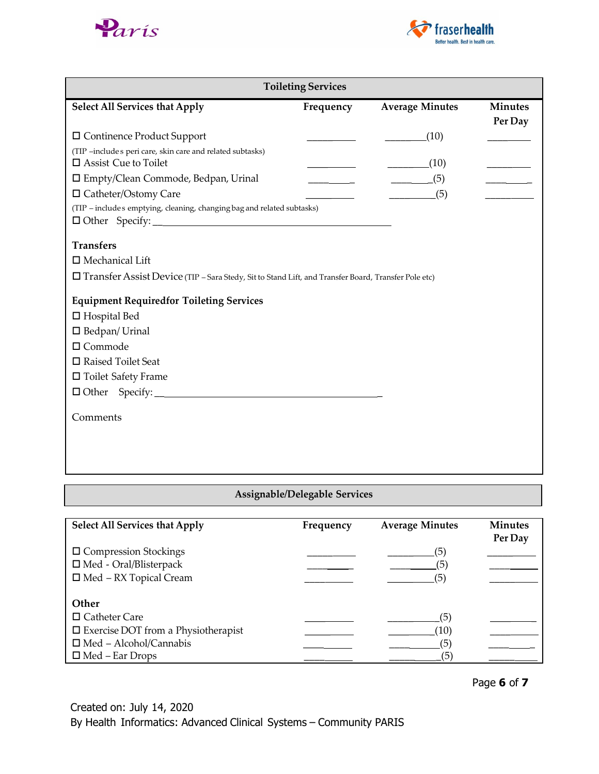



| <b>Toileting Services</b>                                                                             |           |                        |                |
|-------------------------------------------------------------------------------------------------------|-----------|------------------------|----------------|
| <b>Select All Services that Apply</b>                                                                 | Frequency | <b>Average Minutes</b> | <b>Minutes</b> |
|                                                                                                       |           |                        | Per Day        |
| □ Continence Product Support                                                                          |           | (10)                   |                |
| (TIP -includes peri care, skin care and related subtasks)                                             |           |                        |                |
| $\square$ Assist Cue to Toilet                                                                        |           | (10)                   |                |
| □ Empty/Clean Commode, Bedpan, Urinal                                                                 |           | (5)                    |                |
| □ Catheter/Ostomy Care                                                                                |           | (5)                    |                |
| (TIP - includes emptying, cleaning, changing bag and related subtasks)                                |           |                        |                |
|                                                                                                       |           |                        |                |
| <b>Transfers</b>                                                                                      |           |                        |                |
| $\Box$ Mechanical Lift                                                                                |           |                        |                |
|                                                                                                       |           |                        |                |
| □ Transfer Assist Device (TIP - Sara Stedy, Sit to Stand Lift, and Transfer Board, Transfer Pole etc) |           |                        |                |
| <b>Equipment Requiredfor Toileting Services</b>                                                       |           |                        |                |
| $\Box$ Hospital Bed                                                                                   |           |                        |                |
| $\Box$ Bedpan/Urinal                                                                                  |           |                        |                |
| $\square$ Commode                                                                                     |           |                        |                |
| □ Raised Toilet Seat                                                                                  |           |                        |                |
| $\Box$ Toilet Safety Frame                                                                            |           |                        |                |
|                                                                                                       |           |                        |                |
|                                                                                                       |           |                        |                |
| Comments                                                                                              |           |                        |                |
|                                                                                                       |           |                        |                |
|                                                                                                       |           |                        |                |
|                                                                                                       |           |                        |                |

## **Assignable/Delegable Services**

| <b>Select All Services that Apply</b>                    | Frequency | <b>Average Minutes</b> | <b>Minutes</b><br>Per Day |
|----------------------------------------------------------|-----------|------------------------|---------------------------|
| $\Box$ Compression Stockings<br>□ Med - Oral/Blisterpack |           | (5)<br>(5)             |                           |
| $\Box$ Med – RX Topical Cream                            |           | (5)                    |                           |
| Other                                                    |           |                        |                           |
| $\Box$ Catheter Care                                     |           | (5)                    |                           |
| $\square$ Exercise DOT from a Physiotherapist            |           | (10)                   |                           |
| $\Box$ Med - Alcohol/Cannabis                            |           | (5)                    |                           |
| $\Box$ Med – Ear Drops                                   |           | (5)                    |                           |

Page **6** of **7**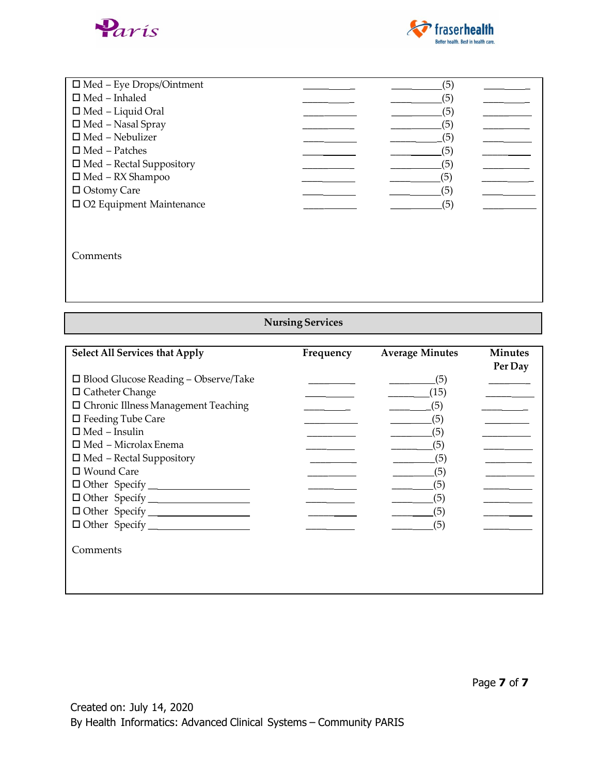



| $\Box$ Med – Eye Drops/Ointment | (5  |
|---------------------------------|-----|
| $\Box$ Med - Inhaled            | (5) |
| $\Box$ Med - Liquid Oral        | (5) |
| $\Box$ Med - Nasal Spray        | 15  |
| $\Box$ Med - Nebulizer          | (5) |
| $\Box$ Med – Patches            | (5) |
| $\Box$ Med – Rectal Suppository | (5) |
| $\Box$ Med – RX Shampoo         | (5) |
| $\Box$ Ostomy Care              | (5  |
| □ O2 Equipment Maintenance      | (5) |
|                                 |     |

Comments

# **Select All Services that Apply Frequency Average Minutes Minutes Per Day** Blood Glucose Reading – Observe/Take \_\_\_\_ \_ \_\_\_\_ (5) \_\_\_\_ \_  $\Box$  Catheter Change  $\Box$   $\Box$   $\Box$  (15) Chronic Illness Management Teaching \_\_\_\_ \_ \_\_\_\_ \_(5) \_\_\_\_ \_ Feeding Tube Care \_\_\_\_ \_\_\_\_ (5) \_\_\_\_\_  $\square$  Med – Insulin (5)<br>  $\square$  Med – Microlax Enema (5) \_\_\_\_\_\_\_\_\_\_\_ (5) \_\_\_\_\_\_\_\_\_ (5) Med – MicrolaxEnema \_\_\_\_ \_\_\_\_\_ (5) \_\_\_\_ Med – Rectal Suppository \_\_\_\_ \_ \_\_\_\_ \_(5) \_\_\_\_ \_ Wound Care \_\_\_\_ \_\_\_\_ (5) \_\_\_\_ Other Specify \_\_ \_\_\_\_\_ \_\_\_\_ (5) \_\_\_\_\_ Other Specify \_\_ \_\_\_\_ \_\_\_\_ (5) \_\_\_\_\_ Other Specify \_\_ \_\_\_\_\_ \_\_\_\_ (5) \_\_\_\_\_ Other Specify \_\_ \_\_\_\_ \_\_\_\_ (5) \_\_\_\_\_ **Comments Nursing Services**

Page **7** of **7**